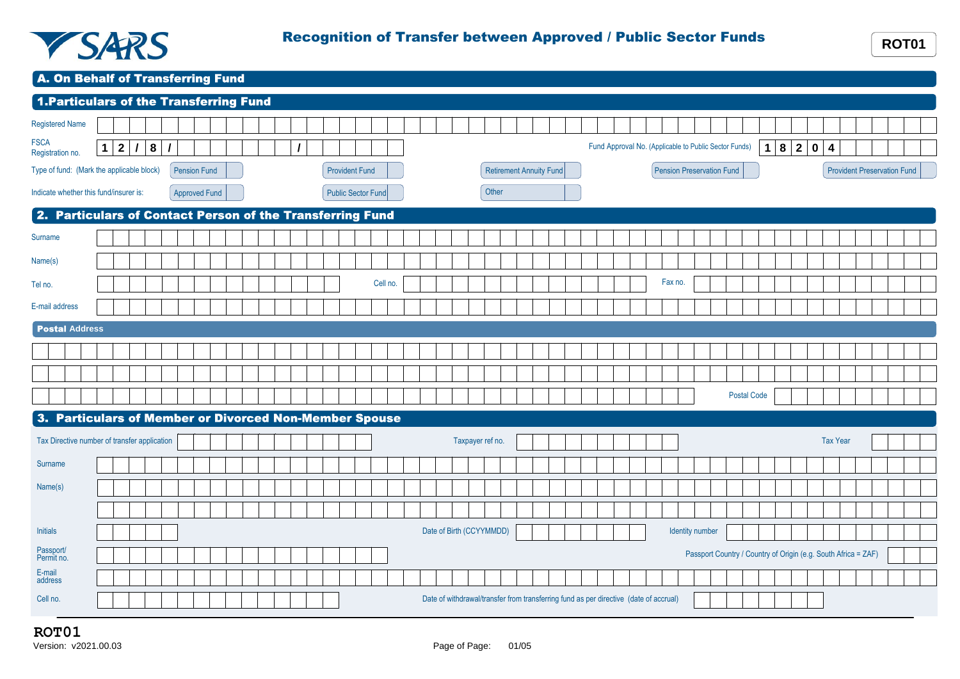

A. On Behalf of Transferring Fund

| 1. Particulars of the Transferring Fund                   |                       |           |  |     |          |                      |  |  |  |  |  |  |  |  |                       |  |  |          |  |  |  |  |                  |                         |                          |  |  |  |  |                           |  |                                                                                       |  |  |         |                                                                |  |  |                    |             |  |     |             |                                    |  |  |  |  |
|-----------------------------------------------------------|-----------------------|-----------|--|-----|----------|----------------------|--|--|--|--|--|--|--|--|-----------------------|--|--|----------|--|--|--|--|------------------|-------------------------|--------------------------|--|--|--|--|---------------------------|--|---------------------------------------------------------------------------------------|--|--|---------|----------------------------------------------------------------|--|--|--------------------|-------------|--|-----|-------------|------------------------------------|--|--|--|--|
| Registered Name                                           |                       |           |  |     |          |                      |  |  |  |  |  |  |  |  |                       |  |  |          |  |  |  |  |                  |                         |                          |  |  |  |  |                           |  |                                                                                       |  |  |         |                                                                |  |  |                    |             |  |     |             |                                    |  |  |  |  |
| <b>FSCA</b><br>Registration no.                           | $\mathbf 1$           | $\vert$ 2 |  | 1 8 | $\prime$ |                      |  |  |  |  |  |  |  |  |                       |  |  |          |  |  |  |  |                  |                         |                          |  |  |  |  |                           |  |                                                                                       |  |  |         | Fund Approval No. (Applicable to Public Sector Funds)          |  |  |                    | $\mathbf 1$ |  | 8 2 | $\mathbf 0$ | 4                                  |  |  |  |  |
| Type of fund: (Mark the applicable block)                 |                       |           |  |     |          | <b>Pension Fund</b>  |  |  |  |  |  |  |  |  | <b>Provident Fund</b> |  |  |          |  |  |  |  |                  | Retirement Annuity Fund |                          |  |  |  |  | Pension Preservation Fund |  |                                                                                       |  |  |         |                                                                |  |  |                    |             |  |     |             | <b>Provident Preservation Fund</b> |  |  |  |  |
| Indicate whether this fund/insurer is:                    |                       |           |  |     |          | <b>Approved Fund</b> |  |  |  |  |  |  |  |  | Public Sector Fund    |  |  |          |  |  |  |  | Other            |                         |                          |  |  |  |  |                           |  |                                                                                       |  |  |         |                                                                |  |  |                    |             |  |     |             |                                    |  |  |  |  |
| 2. Particulars of Contact Person of the Transferring Fund |                       |           |  |     |          |                      |  |  |  |  |  |  |  |  |                       |  |  |          |  |  |  |  |                  |                         |                          |  |  |  |  |                           |  |                                                                                       |  |  |         |                                                                |  |  |                    |             |  |     |             |                                    |  |  |  |  |
| Surname                                                   |                       |           |  |     |          |                      |  |  |  |  |  |  |  |  |                       |  |  |          |  |  |  |  |                  |                         |                          |  |  |  |  |                           |  |                                                                                       |  |  |         |                                                                |  |  |                    |             |  |     |             |                                    |  |  |  |  |
| Name(s)                                                   |                       |           |  |     |          |                      |  |  |  |  |  |  |  |  |                       |  |  |          |  |  |  |  |                  |                         |                          |  |  |  |  |                           |  |                                                                                       |  |  |         |                                                                |  |  |                    |             |  |     |             |                                    |  |  |  |  |
| Tel no.                                                   |                       |           |  |     |          |                      |  |  |  |  |  |  |  |  |                       |  |  | Cell no. |  |  |  |  |                  |                         |                          |  |  |  |  |                           |  |                                                                                       |  |  | Fax no. |                                                                |  |  |                    |             |  |     |             |                                    |  |  |  |  |
| E-mail address                                            |                       |           |  |     |          |                      |  |  |  |  |  |  |  |  |                       |  |  |          |  |  |  |  |                  |                         |                          |  |  |  |  |                           |  |                                                                                       |  |  |         |                                                                |  |  |                    |             |  |     |             |                                    |  |  |  |  |
|                                                           | <b>Postal Address</b> |           |  |     |          |                      |  |  |  |  |  |  |  |  |                       |  |  |          |  |  |  |  |                  |                         |                          |  |  |  |  |                           |  |                                                                                       |  |  |         |                                                                |  |  |                    |             |  |     |             |                                    |  |  |  |  |
|                                                           |                       |           |  |     |          |                      |  |  |  |  |  |  |  |  |                       |  |  |          |  |  |  |  |                  |                         |                          |  |  |  |  |                           |  |                                                                                       |  |  |         |                                                                |  |  |                    |             |  |     |             |                                    |  |  |  |  |
|                                                           |                       |           |  |     |          |                      |  |  |  |  |  |  |  |  |                       |  |  |          |  |  |  |  |                  |                         |                          |  |  |  |  |                           |  |                                                                                       |  |  |         |                                                                |  |  |                    |             |  |     |             |                                    |  |  |  |  |
|                                                           |                       |           |  |     |          |                      |  |  |  |  |  |  |  |  |                       |  |  |          |  |  |  |  |                  |                         |                          |  |  |  |  |                           |  |                                                                                       |  |  |         |                                                                |  |  | <b>Postal Code</b> |             |  |     |             |                                    |  |  |  |  |
| 3. Particulars of Member or Divorced Non-Member Spouse    |                       |           |  |     |          |                      |  |  |  |  |  |  |  |  |                       |  |  |          |  |  |  |  |                  |                         |                          |  |  |  |  |                           |  |                                                                                       |  |  |         |                                                                |  |  |                    |             |  |     |             |                                    |  |  |  |  |
| Tax Directive number of transfer application              |                       |           |  |     |          |                      |  |  |  |  |  |  |  |  |                       |  |  |          |  |  |  |  | Taxpayer ref no. |                         |                          |  |  |  |  |                           |  |                                                                                       |  |  |         |                                                                |  |  |                    |             |  |     |             | <b>Tax Year</b>                    |  |  |  |  |
| Surname                                                   |                       |           |  |     |          |                      |  |  |  |  |  |  |  |  |                       |  |  |          |  |  |  |  |                  |                         |                          |  |  |  |  |                           |  |                                                                                       |  |  |         |                                                                |  |  |                    |             |  |     |             |                                    |  |  |  |  |
| Name(s)                                                   |                       |           |  |     |          |                      |  |  |  |  |  |  |  |  |                       |  |  |          |  |  |  |  |                  |                         |                          |  |  |  |  |                           |  |                                                                                       |  |  |         |                                                                |  |  |                    |             |  |     |             |                                    |  |  |  |  |
|                                                           |                       |           |  |     |          |                      |  |  |  |  |  |  |  |  |                       |  |  |          |  |  |  |  |                  |                         |                          |  |  |  |  |                           |  |                                                                                       |  |  |         |                                                                |  |  |                    |             |  |     |             |                                    |  |  |  |  |
| <b>Initials</b>                                           |                       |           |  |     |          |                      |  |  |  |  |  |  |  |  |                       |  |  |          |  |  |  |  |                  |                         | Date of Birth (CCYYMMDD) |  |  |  |  |                           |  |                                                                                       |  |  |         | Identity number                                                |  |  |                    |             |  |     |             |                                    |  |  |  |  |
| Passport/<br>Permit no.                                   |                       |           |  |     |          |                      |  |  |  |  |  |  |  |  |                       |  |  |          |  |  |  |  |                  |                         |                          |  |  |  |  |                           |  |                                                                                       |  |  |         | Passport Country / Country of Origin (e.g. South Africa = ZAF) |  |  |                    |             |  |     |             |                                    |  |  |  |  |
| E-mail<br>address                                         |                       |           |  |     |          |                      |  |  |  |  |  |  |  |  |                       |  |  |          |  |  |  |  |                  |                         |                          |  |  |  |  |                           |  |                                                                                       |  |  |         |                                                                |  |  |                    |             |  |     |             |                                    |  |  |  |  |
| Cell no.                                                  |                       |           |  |     |          |                      |  |  |  |  |  |  |  |  |                       |  |  |          |  |  |  |  |                  |                         |                          |  |  |  |  |                           |  | Date of withdrawal/transfer from transferring fund as per directive (date of accrual) |  |  |         |                                                                |  |  |                    |             |  |     |             |                                    |  |  |  |  |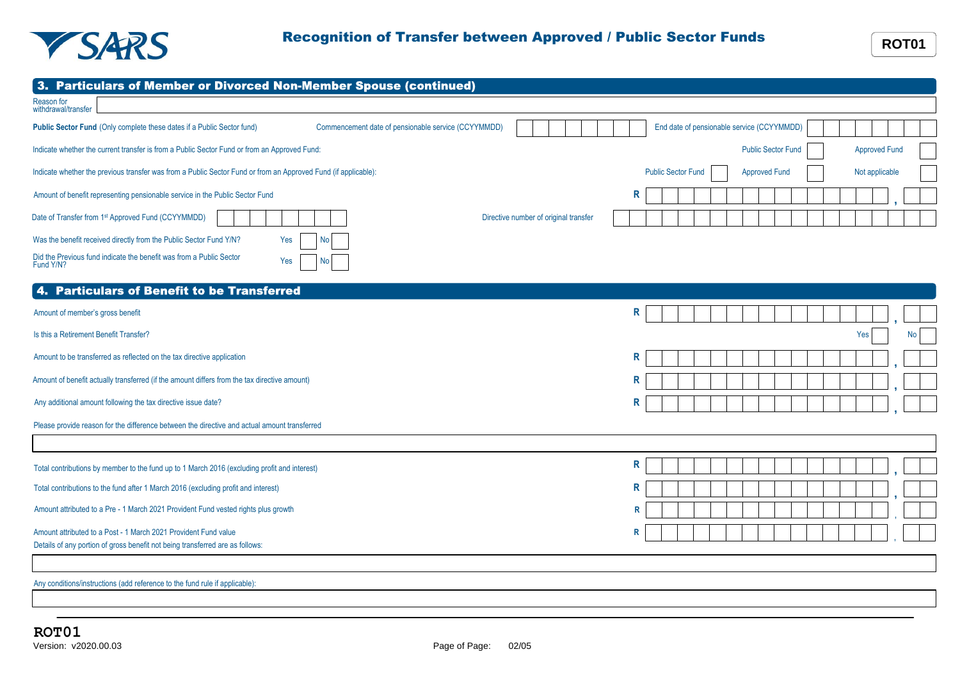

| 3. Particulars of Member or Divorced Non-Member Spouse (continued)                                                            |                                                                     |
|-------------------------------------------------------------------------------------------------------------------------------|---------------------------------------------------------------------|
| Reason for<br>withdrawal/transfer                                                                                             |                                                                     |
| Public Sector Fund (Only complete these dates if a Public Sector fund)<br>Commencement date of pensionable service (CCYYMMDD) | End date of pensionable service (CCYYMMDD)                          |
| Indicate whether the current transfer is from a Public Sector Fund or from an Approved Fund:                                  | <b>Public Sector Fund</b><br><b>Approved Fund</b>                   |
| Indicate whether the previous transfer was from a Public Sector Fund or from an Approved Fund (if applicable):                | <b>Public Sector Fund</b><br>Not applicable<br><b>Approved Fund</b> |
| Amount of benefit representing pensionable service in the Public Sector Fund                                                  | R                                                                   |
| Date of Transfer from 1st Approved Fund (CCYYMMDD)<br>Directive number of original transfer                                   |                                                                     |
| Was the benefit received directly from the Public Sector Fund Y/N?<br>Yes<br>No                                               |                                                                     |
| Did the Previous fund indicate the benefit was from a Public Sector<br>Yes<br>No.<br>Fund Y/N?                                |                                                                     |
| <b>Particulars of Benefit to be Transferred</b>                                                                               |                                                                     |
| Amount of member's gross benefit                                                                                              | R                                                                   |
| Is this a Retirement Benefit Transfer?                                                                                        | Yes<br>No                                                           |
| Amount to be transferred as reflected on the tax directive application                                                        | R                                                                   |
| Amount of benefit actually transferred (if the amount differs from the tax directive amount)                                  | R                                                                   |
| Any additional amount following the tax directive issue date?                                                                 | R                                                                   |
| Please provide reason for the difference between the directive and actual amount transferred                                  |                                                                     |
|                                                                                                                               |                                                                     |
| Total contributions by member to the fund up to 1 March 2016 (excluding profit and interest)                                  | R                                                                   |
| Total contributions to the fund after 1 March 2016 (excluding profit and interest)                                            | R                                                                   |
| Amount attributed to a Pre - 1 March 2021 Provident Fund vested rights plus growth                                            | $\mathsf{R}$                                                        |
| Amount attributed to a Post - 1 March 2021 Provident Fund value                                                               | R                                                                   |
| Details of any portion of gross benefit not being transferred are as follows:                                                 |                                                                     |
| Any conditions/instructions (add reference to the fund rule if applicable):                                                   |                                                                     |
|                                                                                                                               |                                                                     |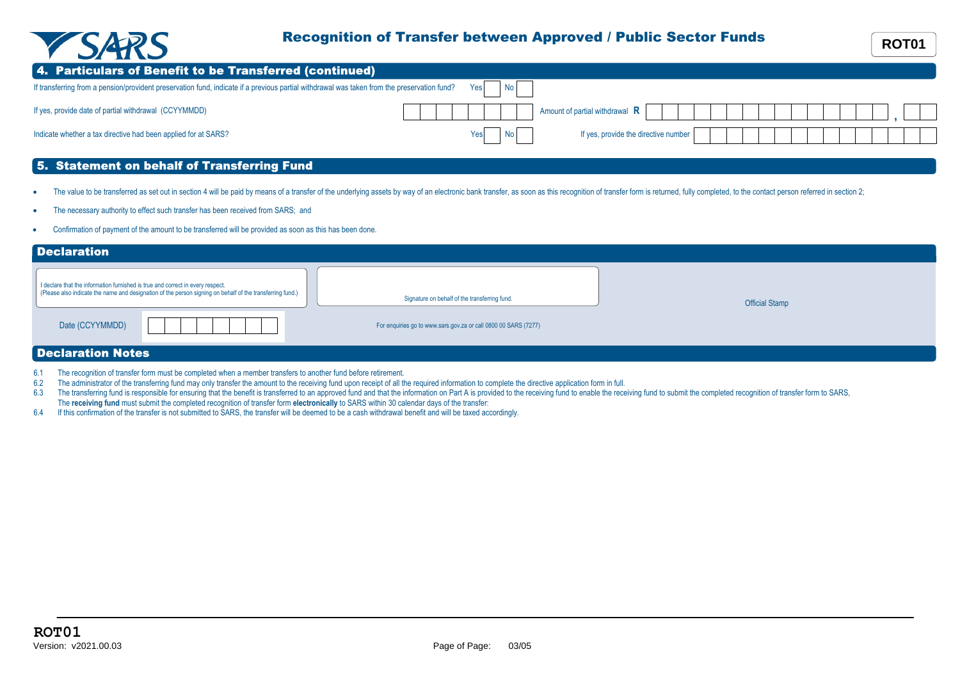

## Recognition of Transfer between Approved / Public Sector Funds **ROT01**

| 4. Particulars of Benefit to be Transferred (continued)                                                                                     |                |                                      |  |  |  |
|---------------------------------------------------------------------------------------------------------------------------------------------|----------------|--------------------------------------|--|--|--|
| If transferring from a pension/provident preservation fund, indicate if a previous partial withdrawal was taken from the preservation fund? | No l<br>Yes    |                                      |  |  |  |
| If yes, provide date of partial withdrawal (CCYYMMDD)                                                                                       |                | Amount of partial withdrawal $\,$ R  |  |  |  |
| Indicate whether a tax directive had been applied for at SARS?                                                                              | N <sub>o</sub> | If yes, provide the directive number |  |  |  |

## 5. Statement on behalf of Transferring Fund

- The value to be transferred as set out in section 4 will be paid by means of a transfer of the underlying assets by way of an electronic bank transfer, as soon as this recognition of transfer form is returned, fully comple
- The necessary authority to effect such transfer has been received from SARS; and
- · Confirmation of payment of the amount to be transferred will be provided as soon as this has been done.

| <b>Declaration</b>                                                             |                                                                                                           |                                                                 |                       |
|--------------------------------------------------------------------------------|-----------------------------------------------------------------------------------------------------------|-----------------------------------------------------------------|-----------------------|
| I declare that the information furnished is true and correct in every respect. | (Please also indicate the name and designation of the person signing on behalf of the transferring fund.) | Signature on behalf of the transferring fund.                   | <b>Official Stamp</b> |
| Date (CCYYMMDD)                                                                |                                                                                                           | For enquiries go to www.sars.gov.za or call 0800 00 SARS (7277) |                       |
| <b>Declaration Notes</b>                                                       |                                                                                                           |                                                                 |                       |

- 6.1 The recognition of transfer form must be completed when a member transfers to another fund before retirement.
- 6.2 The administrator of the transferring fund may only transfer the amount to the receiving fund upon receipt of all the required information to complete the directive application form in full.
- 6.3 The transferring fund is responsible for ensuring that the benefit is transferred to an approved fund and that the information on Part A is provided to the receiving fund to enable the receiving fund to submit the comp The **receiving fund** must submit the completed recognition of transfer form **electronically** to SARS within 30 calendar days of the transfer:
- 6.4 If this confirmation of the transfer is not submitted to SARS, the transfer will be deemed to be a cash withdrawal benefit and will be taxed accordingly.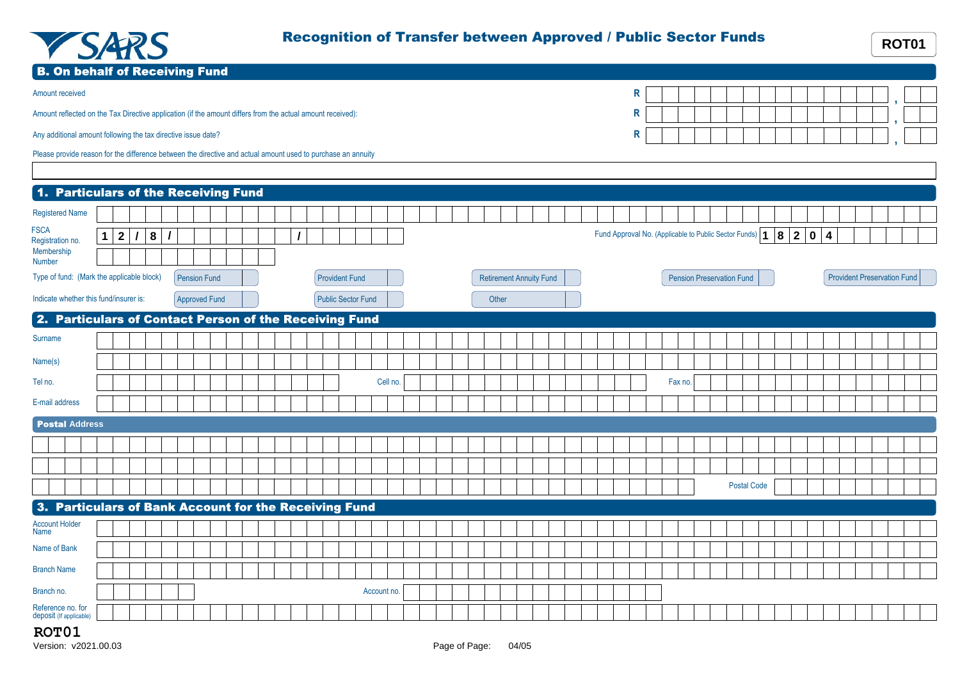

| <b>YSARS</b>                                                                                                 |                   |                |                      |  |  |                           |             |  |  |       |                                |  |              | Recognition of Transfer between Approved / Public Sector Funds |                                  |                    |       |                |                                    | <b>ROT01</b> |
|--------------------------------------------------------------------------------------------------------------|-------------------|----------------|----------------------|--|--|---------------------------|-------------|--|--|-------|--------------------------------|--|--------------|----------------------------------------------------------------|----------------------------------|--------------------|-------|----------------|------------------------------------|--------------|
| <b>B. On behalf of Receiving Fund</b>                                                                        |                   |                |                      |  |  |                           |             |  |  |       |                                |  |              |                                                                |                                  |                    |       |                |                                    |              |
| Amount received                                                                                              |                   |                |                      |  |  |                           |             |  |  |       |                                |  | $\mathsf{R}$ |                                                                |                                  |                    |       |                |                                    |              |
| Amount reflected on the Tax Directive application (if the amount differs from the actual amount received):   |                   |                |                      |  |  |                           |             |  |  |       |                                |  | R            |                                                                |                                  |                    |       |                |                                    |              |
| Any additional amount following the tax directive issue date?                                                |                   |                |                      |  |  |                           |             |  |  |       |                                |  | R            |                                                                |                                  |                    |       |                |                                    |              |
| Please provide reason for the difference between the directive and actual amount used to purchase an annuity |                   |                |                      |  |  |                           |             |  |  |       |                                |  |              |                                                                |                                  |                    |       |                |                                    |              |
| 1. Particulars of the Receiving Fund                                                                         |                   |                |                      |  |  |                           |             |  |  |       |                                |  |              |                                                                |                                  |                    |       |                |                                    |              |
| <b>Registered Name</b>                                                                                       |                   |                |                      |  |  |                           |             |  |  |       |                                |  |              |                                                                |                                  |                    |       |                |                                    |              |
| <b>FSCA</b><br>Registration no.<br>Membership<br>Number                                                      | $1 \mid 2 \mid l$ | 8 <br>$\prime$ |                      |  |  |                           |             |  |  |       |                                |  |              | Fund Approval No. (Applicable to Public Sector Funds)   1      |                                  |                    | 8 2 0 | $\overline{4}$ |                                    |              |
| Type of fund: (Mark the applicable block)                                                                    |                   |                | <b>Pension Fund</b>  |  |  | <b>Provident Fund</b>     |             |  |  |       | <b>Retirement Annuity Fund</b> |  |              |                                                                | <b>Pension Preservation Fund</b> |                    |       |                | <b>Provident Preservation Fund</b> |              |
| Indicate whether this fund/insurer is:                                                                       |                   |                | <b>Approved Fund</b> |  |  | <b>Public Sector Fund</b> |             |  |  | Other |                                |  |              |                                                                |                                  |                    |       |                |                                    |              |
| 2. Particulars of Contact Person of the Receiving Fund                                                       |                   |                |                      |  |  |                           |             |  |  |       |                                |  |              |                                                                |                                  |                    |       |                |                                    |              |
| Surname                                                                                                      |                   |                |                      |  |  |                           |             |  |  |       |                                |  |              |                                                                |                                  |                    |       |                |                                    |              |
| Name(s)                                                                                                      |                   |                |                      |  |  |                           |             |  |  |       |                                |  |              |                                                                |                                  |                    |       |                |                                    |              |
| Tel no.                                                                                                      |                   |                |                      |  |  |                           | Cell no.    |  |  |       |                                |  |              | Fax no.                                                        |                                  |                    |       |                |                                    |              |
| E-mail address                                                                                               |                   |                |                      |  |  |                           |             |  |  |       |                                |  |              |                                                                |                                  |                    |       |                |                                    |              |
| <b>Postal Address</b>                                                                                        |                   |                |                      |  |  |                           |             |  |  |       |                                |  |              |                                                                |                                  |                    |       |                |                                    |              |
|                                                                                                              |                   |                |                      |  |  |                           |             |  |  |       |                                |  |              |                                                                |                                  |                    |       |                |                                    |              |
|                                                                                                              |                   |                |                      |  |  |                           |             |  |  |       |                                |  |              |                                                                |                                  |                    |       |                |                                    |              |
|                                                                                                              |                   |                |                      |  |  |                           |             |  |  |       |                                |  |              |                                                                |                                  | <b>Postal Code</b> |       |                |                                    |              |
| 3. Particulars of Bank Account for the Receiving Fund                                                        |                   |                |                      |  |  |                           |             |  |  |       |                                |  |              |                                                                |                                  |                    |       |                |                                    |              |
| <b>Account Holder</b><br>Name                                                                                |                   |                |                      |  |  |                           |             |  |  |       |                                |  |              |                                                                |                                  |                    |       |                |                                    |              |
| Name of Bank                                                                                                 |                   |                |                      |  |  |                           |             |  |  |       |                                |  |              |                                                                |                                  |                    |       |                |                                    |              |
| <b>Branch Name</b>                                                                                           |                   |                |                      |  |  |                           |             |  |  |       |                                |  |              |                                                                |                                  |                    |       |                |                                    |              |
| Branch no.                                                                                                   |                   |                |                      |  |  |                           | Account no. |  |  |       |                                |  |              |                                                                |                                  |                    |       |                |                                    |              |
| Reference no. for<br>deposit (If applicable)                                                                 |                   |                |                      |  |  |                           |             |  |  |       |                                |  |              |                                                                |                                  |                    |       |                |                                    |              |

## **ROT01**